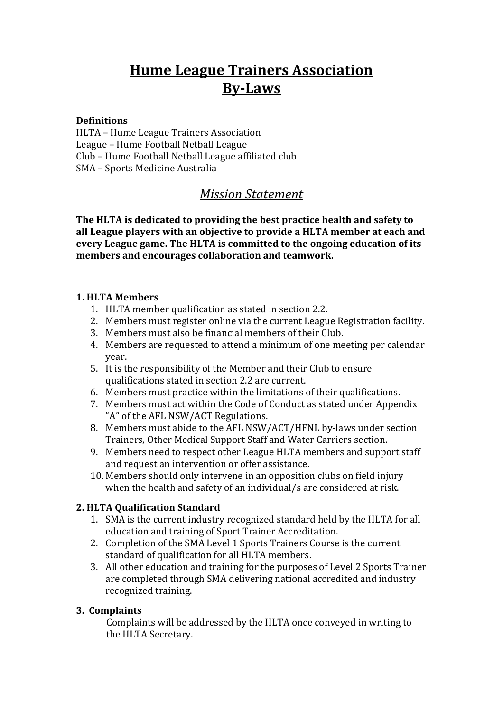# **Hume League Trainers Association By-Laws**

#### **Definitions**

HLTA – Hume League Trainers Association League – Hume Football Netball League Club – Hume Football Netball League affiliated club SMA – Sports Medicine Australia

## *Mission Statement*

**The HLTA is dedicated to providing the best practice health and safety to all League players with an objective to provide a HLTA member at each and every League game. The HLTA is committed to the ongoing education of its members and encourages collaboration and teamwork.**

#### **1. HLTA Members**

- 1. HLTA member qualification as stated in section 2.2.
- 2. Members must register online via the current League Registration facility.
- 3. Members must also be financial members of their Club.
- 4. Members are requested to attend a minimum of one meeting per calendar year.
- 5. It is the responsibility of the Member and their Club to ensure qualifications stated in section 2.2 are current.
- 6. Members must practice within the limitations of their qualifications.
- 7. Members must act within the Code of Conduct as stated under Appendix "A" of the AFL NSW/ACT Regulations.
- 8. Members must abide to the AFL NSW/ACT/HFNL by-laws under section Trainers, Other Medical Support Staff and Water Carriers section.
- 9. Members need to respect other League HLTA members and support staff and request an intervention or offer assistance.
- 10. Members should only intervene in an opposition clubs on field injury when the health and safety of an individual/s are considered at risk.

#### **2. HLTA Qualification Standard**

- 1. SMA is the current industry recognized standard held by the HLTA for all education and training of Sport Trainer Accreditation.
- 2. Completion of the SMA Level 1 Sports Trainers Course is the current standard of qualification for all HLTA members.
- 3. All other education and training for the purposes of Level 2 Sports Trainer are completed through SMA delivering national accredited and industry recognized training.

#### **3. Complaints**

Complaints will be addressed by the HLTA once conveyed in writing to the HLTA Secretary.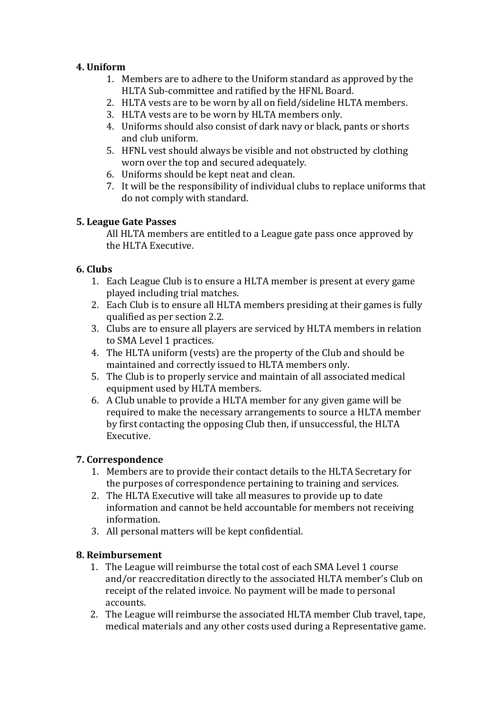#### **4. Uniform**

- 1. Members are to adhere to the Uniform standard as approved by the HLTA Sub-committee and ratified by the HFNL Board.
- 2. HLTA vests are to be worn by all on field/sideline HLTA members.
- 3. HLTA vests are to be worn by HLTA members only.
- 4. Uniforms should also consist of dark navy or black, pants or shorts and club uniform.
- 5. HFNL vest should always be visible and not obstructed by clothing worn over the top and secured adequately.
- 6. Uniforms should be kept neat and clean.
- 7. It will be the responsibility of individual clubs to replace uniforms that do not comply with standard.

## **5. League Gate Passes**

All HLTA members are entitled to a League gate pass once approved by the HLTA Executive.

#### **6. Clubs**

- 1. Each League Club is to ensure a HLTA member is present at every game played including trial matches.
- 2. Each Club is to ensure all HLTA members presiding at their games is fully qualified as per section 2.2.
- 3. Clubs are to ensure all players are serviced by HLTA members in relation to SMA Level 1 practices.
- 4. The HLTA uniform (vests) are the property of the Club and should be maintained and correctly issued to HLTA members only.
- 5. The Club is to properly service and maintain of all associated medical equipment used by HLTA members.
- 6. A Club unable to provide a HLTA member for any given game will be required to make the necessary arrangements to source a HLTA member by first contacting the opposing Club then, if unsuccessful, the HLTA Executive.

## **7. Correspondence**

- 1. Members are to provide their contact details to the HLTA Secretary for the purposes of correspondence pertaining to training and services.
- 2. The HLTA Executive will take all measures to provide up to date information and cannot be held accountable for members not receiving information.
- 3. All personal matters will be kept confidential.

#### **8. Reimbursement**

- 1. The League will reimburse the total cost of each SMA Level 1 course and/or reaccreditation directly to the associated HLTA member's Club on receipt of the related invoice. No payment will be made to personal accounts.
- 2. The League will reimburse the associated HLTA member Club travel, tape, medical materials and any other costs used during a Representative game.